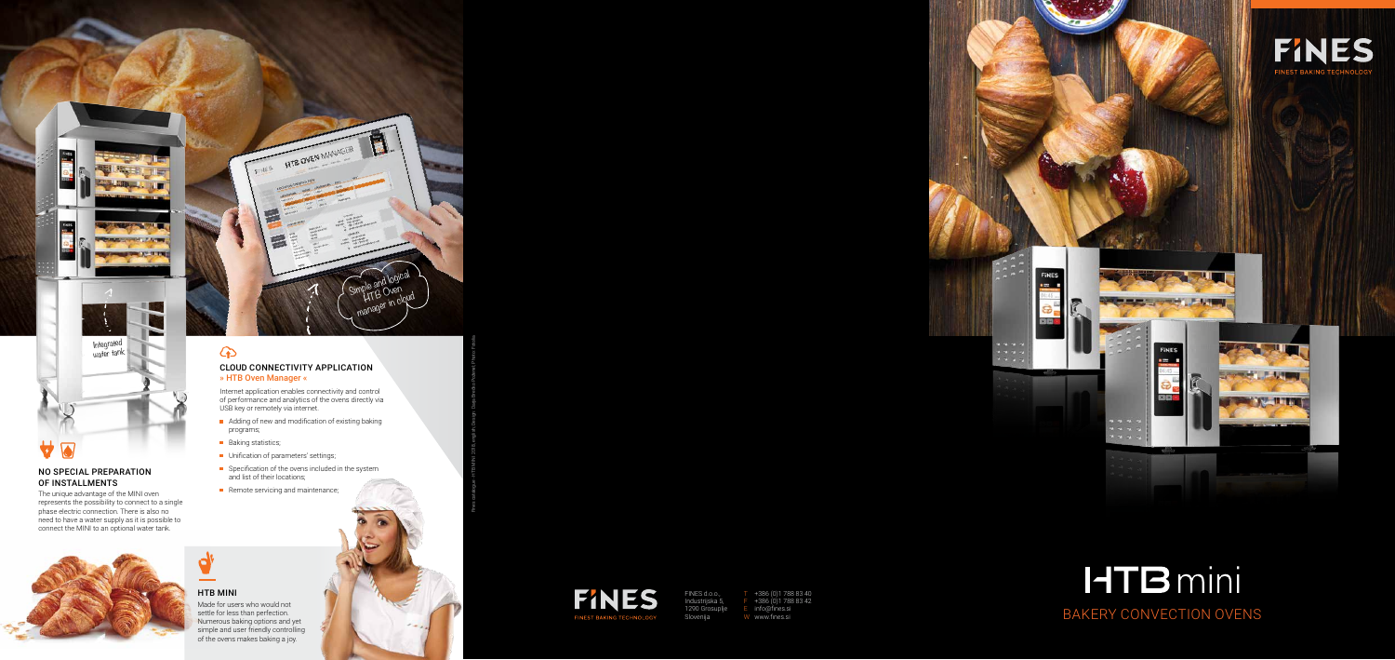FINES d.o.o., Slovenija



# **HTB** mini BAKERY CONVECTION OVE

Industrijska 5, 1290 Grosuplje

T +386 (0)1 788 83 40  $F + 386(0)17888342$ E info@fines.si W www.fines.si

NO SPECIAL PREPARATION

OF INSTALLMENTS

 $\overline{\blacktriangle}$ 

 $\blacktriangledown$ 



### $\bigodot$ CLOUD CONNECTIVITY A » HTB Oven Manager «

The unique advantage of the MINI oven represents the possibility to connect to a single phase electric connection. There is also no need to have a water supply as it is possible to connect the MINI to an optional water tank.

Internet application enables connectivity and control of performance and analytics of the ovens directly via USB key or remotely via internet.

- Adding of new and modification of existing baking programs;
- **Baking statistics;**
- **Unification of parameters' settings;**
- Specification of the ovens included in the system and list of their locations;
- Remote servicing and maintenance;









Made for users who would not settle for less than perfection. Numerous baking options and yet simple and user friendly controlling

of the ovens makes baking a joy.